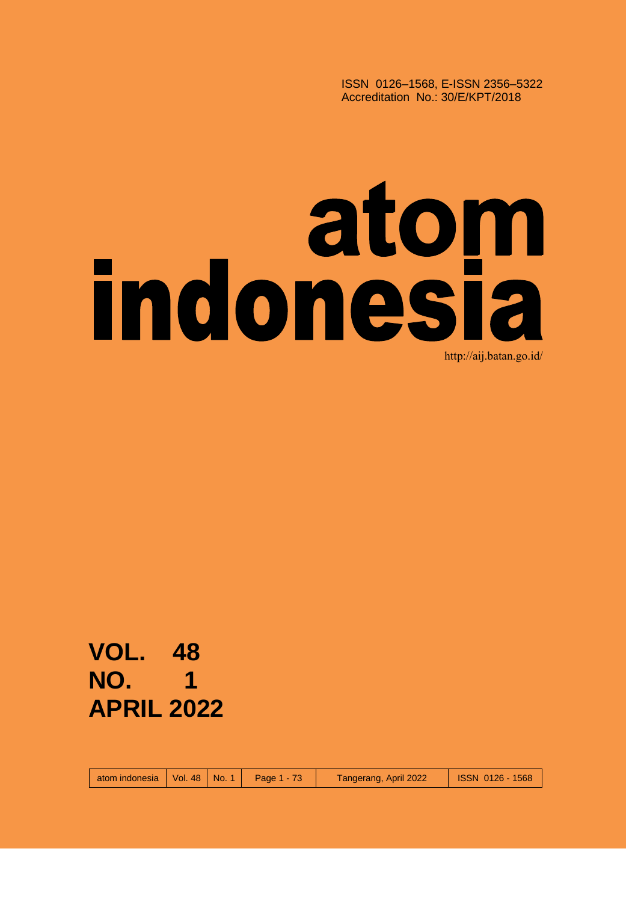ISSN 0126–1568, E-ISSN 2356–5322 Accreditation No.: 30/E/KPT/2018

## **indonésia** http://aij.batan.go.id/

**VOL. 48 NO. 1 APRIL 2022**

atom indonesia | Vol. 48 | No. 1 | Page 1 - 73 | Tangerang, April 2022 | ISSN 0126 - 1568